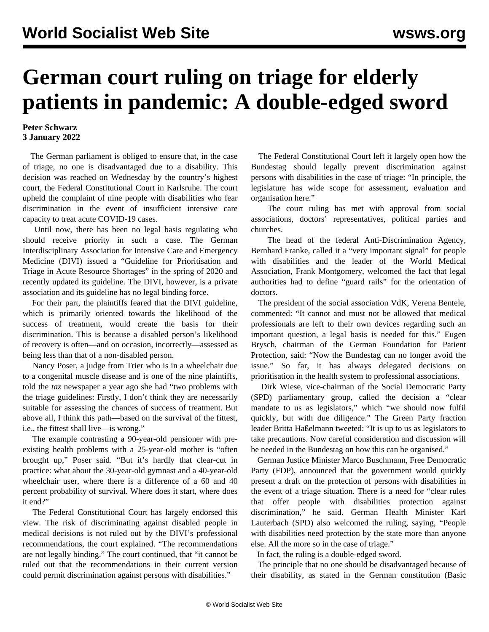## **German court ruling on triage for elderly patients in pandemic: A double-edged sword**

## **Peter Schwarz 3 January 2022**

 The German parliament is obliged to ensure that, in the case of triage, no one is disadvantaged due to a disability. This decision was reached on Wednesday by the country's highest court, the Federal Constitutional Court in Karlsruhe. The court upheld the complaint of nine people with disabilities who fear discrimination in the event of insufficient intensive care capacity to treat acute COVID-19 cases.

 Until now, there has been no legal basis regulating who should receive priority in such a case. The German Interdisciplinary Association for Intensive Care and Emergency Medicine (DIVI) issued a "Guideline for Prioritisation and Triage in Acute Resource Shortages" in the spring of 2020 and recently updated its guideline. The DIVI, however, is a private association and its guideline has no legal binding force.

 For their part, the plaintiffs feared that the DIVI guideline, which is primarily oriented towards the likelihood of the success of treatment, would create the basis for their discrimination. This is because a disabled person's likelihood of recovery is often—and on occasion, incorrectly—assessed as being less than that of a non-disabled person.

 Nancy Poser, a judge from Trier who is in a wheelchair due to a congenital muscle disease and is one of the nine plaintiffs, told the *taz* newspaper a year ago she had "two problems with the triage guidelines: Firstly, I don't think they are necessarily suitable for assessing the chances of success of treatment. But above all, I think this path—based on the survival of the fittest, i.e., the fittest shall live—is wrong."

 The example contrasting a 90-year-old pensioner with preexisting health problems with a 25-year-old mother is "often brought up," Poser said. "But it's hardly that clear-cut in practice: what about the 30-year-old gymnast and a 40-year-old wheelchair user, where there is a difference of a 60 and 40 percent probability of survival. Where does it start, where does it end?"

 The Federal Constitutional Court has largely endorsed this view. The risk of discriminating against disabled people in medical decisions is not ruled out by the DIVI's professional recommendations, the court explained. "The recommendations are not legally binding." The court continued, that "it cannot be ruled out that the recommendations in their current version could permit discrimination against persons with disabilities."

 The Federal Constitutional Court left it largely open how the Bundestag should legally prevent discrimination against persons with disabilities in the case of triage: "In principle, the legislature has wide scope for assessment, evaluation and organisation here."

 The court ruling has met with approval from social associations, doctors' representatives, political parties and churches.

 The head of the federal Anti-Discrimination Agency, Bernhard Franke, called it a "very important signal" for people with disabilities and the leader of the World Medical Association, Frank Montgomery, welcomed the fact that legal authorities had to define "guard rails" for the orientation of doctors.

 The president of the social association VdK, Verena Bentele, commented: "It cannot and must not be allowed that medical professionals are left to their own devices regarding such an important question, a legal basis is needed for this." Eugen Brysch, chairman of the German Foundation for Patient Protection, said: "Now the Bundestag can no longer avoid the issue." So far, it has always delegated decisions on prioritisation in the health system to professional associations.

 Dirk Wiese, vice-chairman of the Social Democratic Party (SPD) parliamentary group, called the decision a "clear mandate to us as legislators," which "we should now fulfil quickly, but with due diligence." The Green Party fraction leader Britta Haßelmann tweeted: "It is up to us as legislators to take precautions. Now careful consideration and discussion will be needed in the Bundestag on how this can be organised."

 German Justice Minister Marco Buschmann, Free Democratic Party (FDP), announced that the government would quickly present a draft on the protection of persons with disabilities in the event of a triage situation. There is a need for "clear rules that offer people with disabilities protection against discrimination," he said. German Health Minister Karl Lauterbach (SPD) also welcomed the ruling, saying, "People with disabilities need protection by the state more than anyone else. All the more so in the case of triage."

In fact, the ruling is a double-edged sword.

 The principle that no one should be disadvantaged because of their disability, as stated in the German constitution (Basic